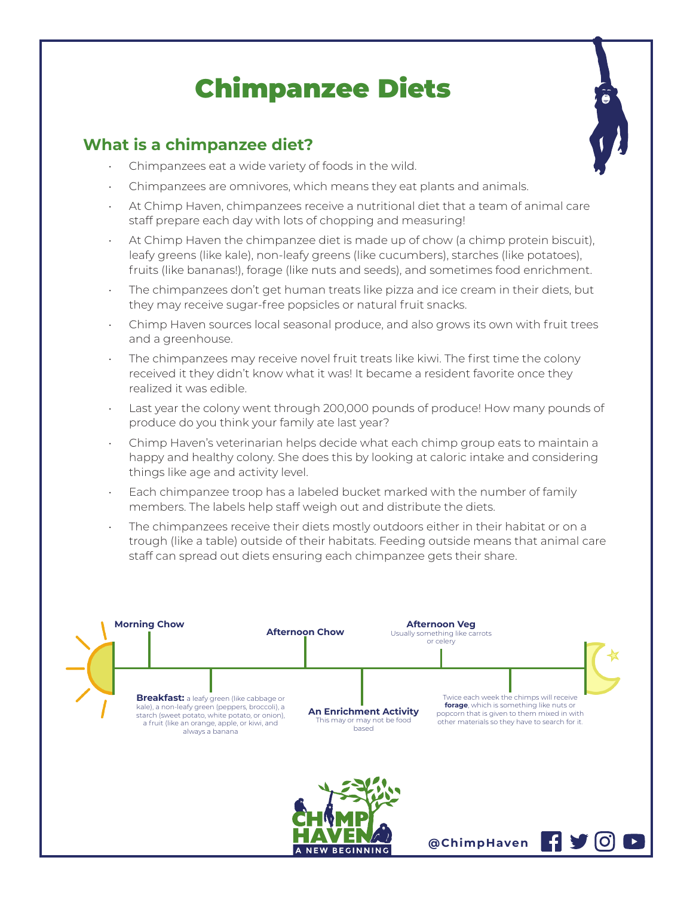# Chimpanzee Diets

## **What is a chimpanzee diet?**

- Chimpanzees eat a wide variety of foods in the wild.
- Chimpanzees are omnivores, which means they eat plants and animals.
- At Chimp Haven, chimpanzees receive a nutritional diet that a team of animal care staff prepare each day with lots of chopping and measuring!
- At Chimp Haven the chimpanzee diet is made up of chow (a chimp protein biscuit), leafy greens (like kale), non-leafy greens (like cucumbers), starches (like potatoes), fruits (like bananas!), forage (like nuts and seeds), and sometimes food enrichment.
- The chimpanzees don't get human treats like pizza and ice cream in their diets, but they may receive sugar-free popsicles or natural fruit snacks.
- Chimp Haven sources local seasonal produce, and also grows its own with fruit trees and a greenhouse.
- The chimpanzees may receive novel fruit treats like kiwi. The first time the colony received it they didn't know what it was! It became a resident favorite once they realized it was edible.
- Last year the colony went through 200,000 pounds of produce! How many pounds of produce do you think your family ate last year?
- Chimp Haven's veterinarian helps decide what each chimp group eats to maintain a happy and healthy colony. She does this by looking at caloric intake and considering things like age and activity level.
- Each chimpanzee troop has a labeled bucket marked with the number of family members. The labels help staff weigh out and distribute the diets.
- The chimpanzees receive their diets mostly outdoors either in their habitat or on a trough (like a table) outside of their habitats. Feeding outside means that animal care staff can spread out diets ensuring each chimpanzee gets their share.